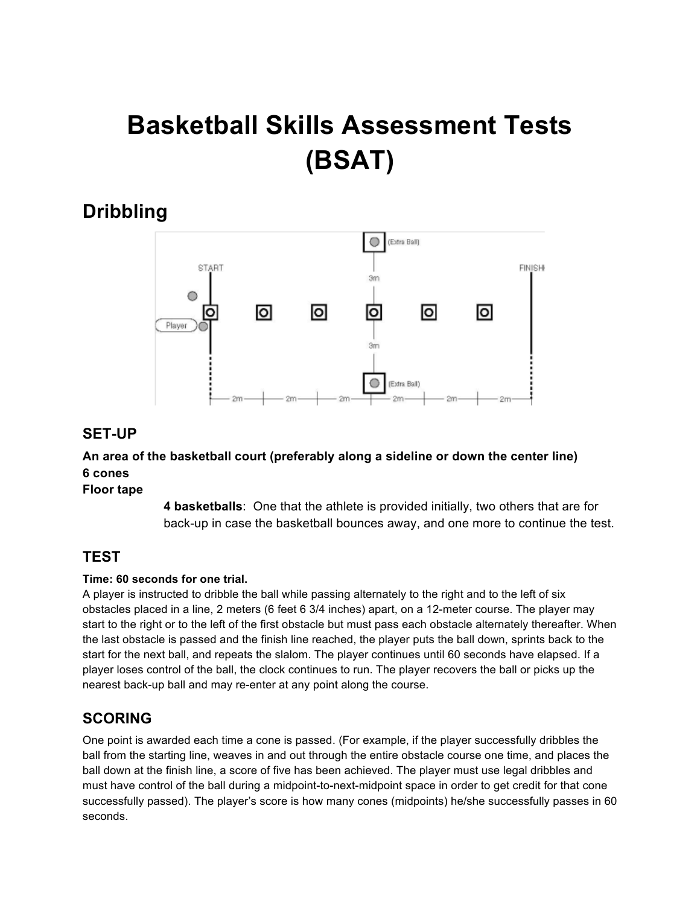# **Basketball Skills Assessment Tests (BSAT)**

# **Dribbling**



### **SET-UP**

# **An area of the basketball court (preferably along a sideline or down the center line) 6 cones**

**Floor tape**

**4 basketballs**: One that the athlete is provided initially, two others that are for back-up in case the basketball bounces away, and one more to continue the test.

# **TEST**

#### **Time: 60 seconds for one trial.**

A player is instructed to dribble the ball while passing alternately to the right and to the left of six obstacles placed in a line, 2 meters (6 feet 6 3/4 inches) apart, on a 12-meter course. The player may start to the right or to the left of the first obstacle but must pass each obstacle alternately thereafter. When the last obstacle is passed and the finish line reached, the player puts the ball down, sprints back to the start for the next ball, and repeats the slalom. The player continues until 60 seconds have elapsed. If a player loses control of the ball, the clock continues to run. The player recovers the ball or picks up the nearest back-up ball and may re-enter at any point along the course.

# **SCORING**

One point is awarded each time a cone is passed. (For example, if the player successfully dribbles the ball from the starting line, weaves in and out through the entire obstacle course one time, and places the ball down at the finish line, a score of five has been achieved. The player must use legal dribbles and must have control of the ball during a midpoint-to-next-midpoint space in order to get credit for that cone successfully passed). The player's score is how many cones (midpoints) he/she successfully passes in 60 seconds.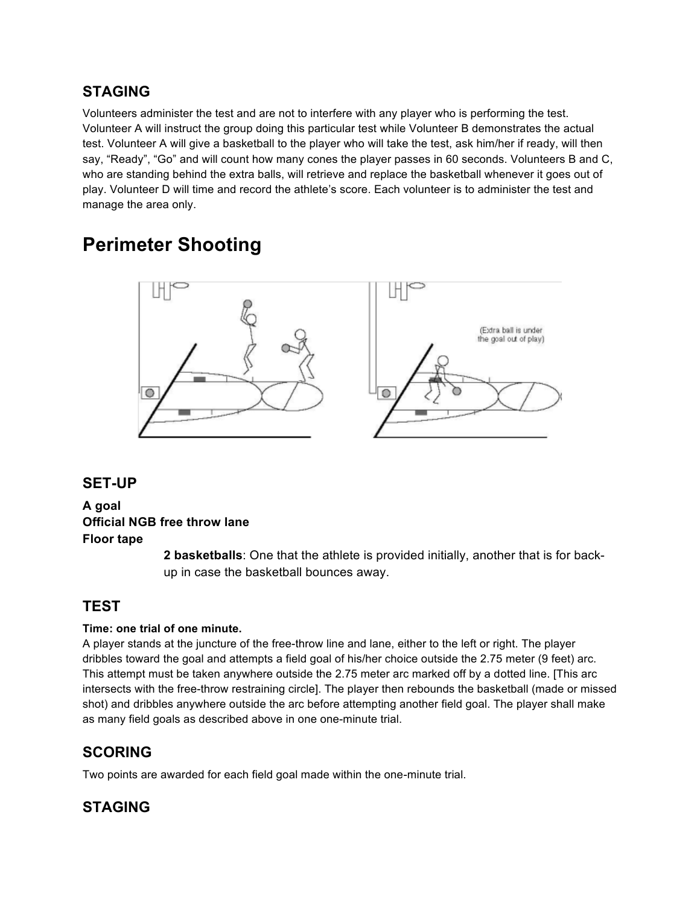# **STAGING**

Volunteers administer the test and are not to interfere with any player who is performing the test. Volunteer A will instruct the group doing this particular test while Volunteer B demonstrates the actual test. Volunteer A will give a basketball to the player who will take the test, ask him/her if ready, will then say, "Ready", "Go" and will count how many cones the player passes in 60 seconds. Volunteers B and C, who are standing behind the extra balls, will retrieve and replace the basketball whenever it goes out of play. Volunteer D will time and record the athlete's score. Each volunteer is to administer the test and manage the area only.

# **Perimeter Shooting**



### **SET-UP**

### **A goal Official NGB free throw lane Floor tape**

**2 basketballs**: One that the athlete is provided initially, another that is for backup in case the basketball bounces away.

# **TEST**

#### **Time: one trial of one minute.**

A player stands at the juncture of the free-throw line and lane, either to the left or right. The player dribbles toward the goal and attempts a field goal of his/her choice outside the 2.75 meter (9 feet) arc. This attempt must be taken anywhere outside the 2.75 meter arc marked off by a dotted line. [This arc intersects with the free-throw restraining circle]. The player then rebounds the basketball (made or missed shot) and dribbles anywhere outside the arc before attempting another field goal. The player shall make as many field goals as described above in one one-minute trial.

# **SCORING**

Two points are awarded for each field goal made within the one-minute trial.

# **STAGING**